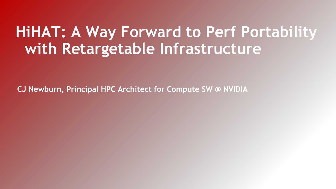## **HiHAT: A Way Forward to Perf Portability with Retargetable Infrastructure**

**CJ Newburn, Principal HPC Architect for Compute SW @ NVIDIA**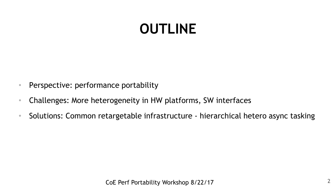## **OUTLINE**

- Perspective: performance portability
- Challenges: More heterogeneity in HW platforms, SW interfaces
- Solutions: Common retargetable infrastructure hierarchical hetero async tasking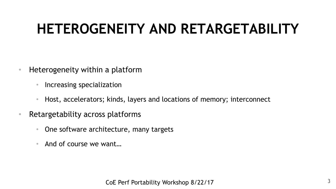# **HETEROGENEITY AND RETARGETABILITY**

- Heterogeneity within a platform
	- Increasing specialization
	- Host, accelerators; kinds, layers and locations of memory; interconnect
- Retargetability across platforms
	- One software architecture, many targets
	- And of course we want...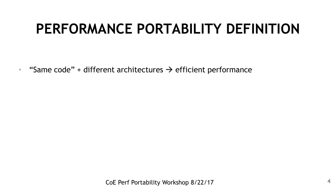### **PERFORMANCE PORTABILITY DEFINITION**

• "Same code" + different architectures  $\rightarrow$  efficient performance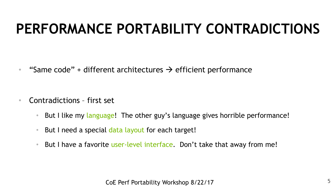## **PERFORMANCE PORTABILITY CONTRADICTIONS**

• "Same code" + different architectures  $\rightarrow$  efficient performance

- Contradictions first set
	- But I like my language! The other guy's language gives horrible performance!
	- But I need a special data layout for each target!
	- But I have a favorite user-level interface. Don't take that away from me!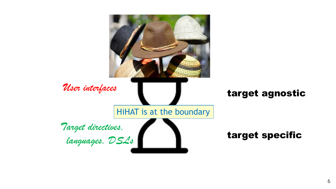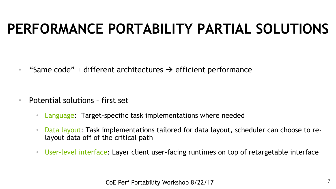### **PERFORMANCE PORTABILITY PARTIAL SOLUTIONS**

• "Same code" + different architectures  $\rightarrow$  efficient performance

- Potential solutions first set
	- Language: Target-specific task implementations where needed
	- Data layout: Task implementations tailored for data layout, scheduler can choose to relayout data off of the critical path
	- User-level interface: Layer client user-facing runtimes on top of retargetable interface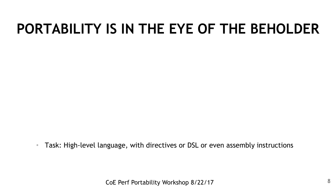• Task: High-level language, with directives or DSL or even assembly instructions

CoE Perf Portability Workshop 8/22/17 8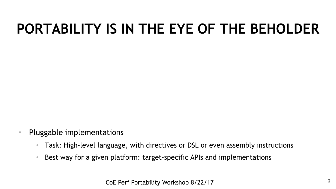- Pluggable implementations
	- Task: High-level language, with directives or DSL or even assembly instructions
	- Best way for a given platform: target-specific APIs and implementations

CoE Perf Portability Workshop 8/22/17 9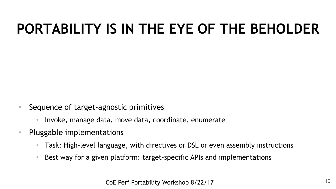- Sequence of target-agnostic primitives
	- Invoke, manage data, move data, coordinate, enumerate
- Pluggable implementations
	- Task: High-level language, with directives or DSL or even assembly instructions
	- Best way for a given platform: target-specific APIs and implementations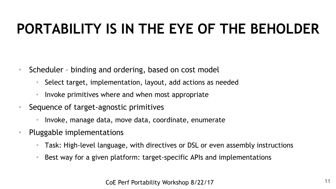- Scheduler binding and ordering, based on cost model
	- Select target, implementation, layout, add actions as needed
	- Invoke primitives where and when most appropriate
- Sequence of target-agnostic primitives
	- Invoke, manage data, move data, coordinate, enumerate
- Pluggable implementations
	- Task: High-level language, with directives or DSL or even assembly instructions
	- Best way for a given platform: target-specific APIs and implementations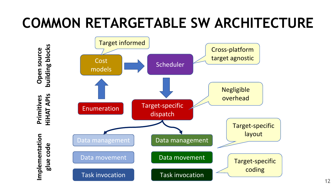# **COMMON RETARGETABLE SW ARCHITECTURE**

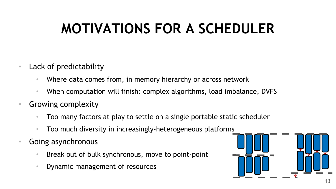# **MOTIVATIONS FOR A SCHEDULER**

- Lack of predictability
	- Where data comes from, in memory hierarchy or across network
	- When computation will finish: complex algorithms, load imbalance, DVFS
- Growing complexity
	- Too many factors at play to settle on a single portable static scheduler
	- Too much diversity in increasingly-heterogeneous platforms
- Going asynchronous
	- Break out of bulk synchronous, move to point-point
	- Dynamic management of resources

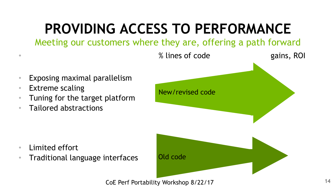# **PROVIDING ACCESS TO PERFORMANCE**

Meeting our customers where they are, offering a path forward



CoE Perf Portability Workshop 8/22/17 14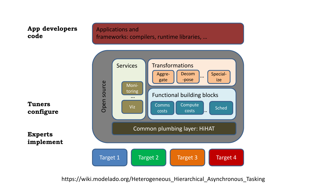#### **App developers code**

Applications and frameworks: compilers, runtime libraries, …



https://wiki.modelado.org/Heterogeneous\_Hierarchical\_Asynchronous\_Tasking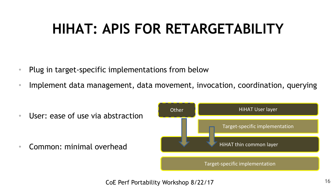### **HIHAT: APIS FOR RETARGETABILITY**

- Plug in target-specific implementations from below
- Implement data management, data movement, invocation, coordination, querying

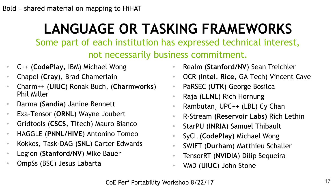# **LANGUAGE OR TASKING FRAMEWORKS**

Some part of each institution has expressed technical interest,

not necessarily business commitment.

- C++ (**CodePlay**, IBM) Michael Wong
- Chapel (**Cray**), Brad Chamerlain
- Charm++ (**UIUC**) Ronak Buch, (**Charmworks**) Phil Miller
- Darma (**Sandia**) Janine Bennett
- Exa-Tensor (**ORNL**) Wayne Joubert
- Gridtools (**CSCS**, Titech) Mauro Bianco
- HAGGLE (**PNNL/HIVE**) Antonino Tomeo
- Kokkos, Task-DAG (**SNL**) Carter Edwards
- Legion (**Stanford/NV**) Mike Bauer
- OmpSs (BSC) Jesus Labarta
- Realm (**Stanford/NV**) Sean Treichler
- OCR (**Intel**, **Rice**, GA Tech) Vincent Cave
- PaRSEC (**UTK**) George Bosilca
- Raja (**LLNL**) Rich Hornung
- Rambutan, UPC++ (LBL) Cy Chan
- R-Stream **(Reservoir Labs)** Rich Lethin
- StarPU (**INRIA**) Samuel Thibault
- SyCL (**CodePlay**) Michael Wong
- SWIFT (**Durham**) Matthieu Schaller
- TensorRT (**NVIDIA**) Dilip Sequeira
- VMD (**UIUC**) John Stone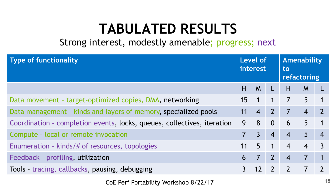### **TABULATED RESULTS**

Strong interest, modestly amenable; progress; next

| <b>Type of functionality</b>                                            | Level of<br>interest |                | Amenability<br>to<br>refactoring |                |                |  |
|-------------------------------------------------------------------------|----------------------|----------------|----------------------------------|----------------|----------------|--|
|                                                                         | H                    | M              | L                                | H              | M              |  |
| Data movement - target-optimized copies, DMA, networking                |                      | $\mathbf 1$    | $\mathbf 1$                      | $\overline{7}$ | 5              |  |
| Data management - kinds and layers of memory, specialized pools         | 11                   | $\overline{4}$ | $\mathbf{Z}$                     | $\overline{7}$ | $\overline{4}$ |  |
| Coordination - completion events, locks, queues, collectives, iteration |                      | 8              | $\overline{0}$                   | 6              | 5              |  |
| Compute - local or remote invocation                                    |                      | $\overline{3}$ | $\overline{4}$                   | $\overline{4}$ | 5              |  |
| Enumeration - kinds/# of resources, topologies                          |                      | 5              | $\mathbf{1}$                     | $\overline{4}$ | $\overline{4}$ |  |
| Feedback - profiling, utilization                                       | 6                    | $\overline{7}$ | $\overline{2}$                   | $\overline{4}$ | 7              |  |
| Tools - tracing, callbacks, pausing, debugging                          |                      | 12             | $\overline{\phantom{a}}$         | $\overline{2}$ |                |  |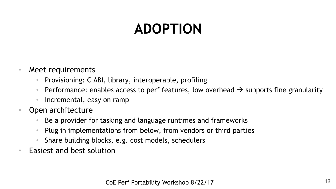# **ADOPTION**

- Meet requirements
	- Provisioning: C ABI, library, interoperable, profiling
	- Performance: enables access to perf features, low overhead  $\rightarrow$  supports fine granularity
	- Incremental, easy on ramp
- Open architecture
	- Be a provider for tasking and language runtimes and frameworks
	- Plug in implementations from below, from vendors or third parties
	- Share building blocks, e.g. cost models, schedulers
- Easiest and best solution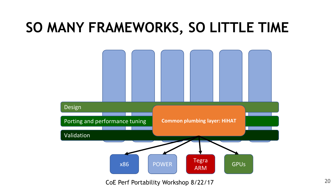### **SO MANY FRAMEWORKS, SO LITTLE TIME**



CoE Perf Portability Workshop 8/22/17 20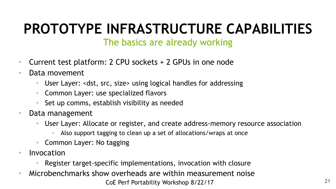# **PROTOTYPE INFRASTRUCTURE CAPABILITIES**

### The basics are already working

- Current test platform: 2 CPU sockets + 2 GPUs in one node
- Data movement
	- User Layer: <dst, src, size> using logical handles for addressing
	- Common Layer: use specialized flavors
	- Set up comms, establish visibility as needed
- Data management
	- User Layer: Allocate or register, and create address-memory resource association
		- Also support tagging to clean up a set of allocations/wraps at once
	- Common Layer: No tagging
- Invocation
	- Register target-specific implementations, invocation with closure
- CoE Perf Portability Workshop 8/22/17 21 • Microbenchmarks show overheads are within measurement noise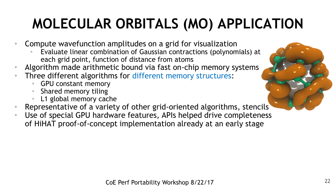# **MOLECULAR ORBITALS (MO) APPLICATION**

- Compute wavefunction amplitudes on a grid for visualization
	- Evaluate linear combination of Gaussian contractions (polynomials) at each grid point, function of distance from atoms
- Algorithm made arithmetic bound via fast on-chip memory systems
- Three different algorithms for different memory structures:
	- GPU constant memory
	- Shared memory tiling
	- L1 global memory cache
- Representative of a variety of other grid-oriented algorithms, stencils
- Use of special GPU hardware features, APIs helped drive completeness of HiHAT proof-of-concept implementation already at an early stage

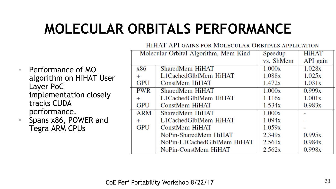# **MOLECULAR ORBITALS PERFORMANCE**

HIHAT API GAINS FOR MOLECULAR ORBITALS APPLICATION

| Performance of MO       |
|-------------------------|
| algorithm on HiHAT User |
| Layer PoC               |
| implementation closely  |
| tracks CUDA             |
| performance.            |

• Spans x86, POWER and Tegra ARM CPUs

| Molecular Orbital Algorithm, Mem Kind |                             | Speedup   | <b>HiHAT</b> |
|---------------------------------------|-----------------------------|-----------|--------------|
|                                       |                             | vs. ShMem | API gain     |
| x86                                   | SharedMem HiHAT             | 1.000x    | 1.028x       |
| $+$                                   | L1CachedGlblMem HiHAT       | 1.088x    | 1.025x       |
| <b>GPU</b>                            | <b>ConstMem HiHAT</b>       | 1.472x    | 1.031x       |
| <b>PWR</b>                            | SharedMem HiHAT             | 1.000x    | 0.999x       |
| $^{+}$                                | L1CachedGlblMem HiHAT       | 1.116x    | 1.001x       |
| <b>GPU</b>                            | <b>ConstMem HiHAT</b>       | 1.534x    | 0.983x       |
| <b>ARM</b>                            | SharedMem HiHAT             | 1.000x    |              |
| $+$                                   | L1CachedGlblMem HiHAT       | 1.094x    |              |
| <b>GPU</b>                            | <b>ConstMem HiHAT</b>       | 1.059x    |              |
|                                       | NoPin-SharedMem HiHAT       | 2.349x    | 0.995x       |
|                                       | NoPin-L1CachedGlblMem HiHAT | 2.561x    | 0.984x       |
|                                       | NoPin-ConstMem HiHAT        | 2.562x    | 0.998x       |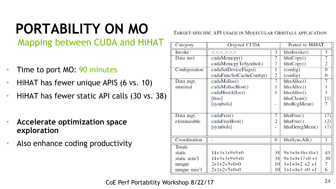# **PORTABILITY ON MO**

Mapping between CUDA and HiHAT

- Time to port MO: 90 minutes
- HiHAT has fewer unique APIS (6 vs. 10)
- HiHAT has fewer static API calls (30 vs. 38)
- **Accelerate optimization space exploration**
- Also enhance coding productivity

TARGET-SPECIFIC API USAGE IN MOLECULAR ORBITALS APPLICATION

| Category      | Original CUDA            | Ported to HiHAT |                 |                   |
|---------------|--------------------------|-----------------|-----------------|-------------------|
| Invoke        | <<<>>>                   | 3               | hhuInvoke()     | 3                 |
| Data mvt      | cudaMemory()             | 7               | hhuCopy()       | 7                 |
|               | cudaMemcpyToSymbol()     | 7               | hhuCopy()       | $\overline{2}$    |
| Configuration | cudaSetDeviceFlags()     | 1               | (config)        | $\overline{0}$    |
|               | cudaFuncSetCacheConfig() | 2               | (config)        | $\overline{0}$    |
| Data mgt,     | cudaMalloc()             | 7               | hhuAlloc()      | 7                 |
| minimal       | cudaMallocHost()         |                 | hhuAlloc()      |                   |
|               | cudaHostAlloc()          |                 | hhuAlloc()      |                   |
|               | [free]                   |                 | hhuClean()      | $\lceil 1 \rceil$ |
|               | [symbols]                |                 | hhuRegMem()     | 7                 |
|               |                          |                 |                 |                   |
| Data mgt,     | cudaFree()               | 7               | hhuFree()       | (7)               |
| eliminatable  | cudaFreeHost()           | 2               | hhuFree()       | (2)               |
|               | [symbols]                |                 | hhuDeregMem()   | (7)               |
|               |                          |                 |                 |                   |
| Coordination  |                          | $\overline{0}$  | hhuSyncAll()    | 1                 |
| <b>Totals</b> |                          |                 |                 |                   |
| static        | $14+3+3+9+9+0$           | 38              | $9+3+0+16+16+1$ | 43                |
| static min'l  | $14+3+3+9+9+0$           | 38              | $9+3+0+17+0+1$  | 30                |
| unique        | $2+1+2+5+0+0$            | 10              | $1+1+0+2+2+1$   | 7                 |
| unique min'l  | $2+1+2+5+0+0$            | 10              | $1+1+0+3+0+1$   | 6                 |